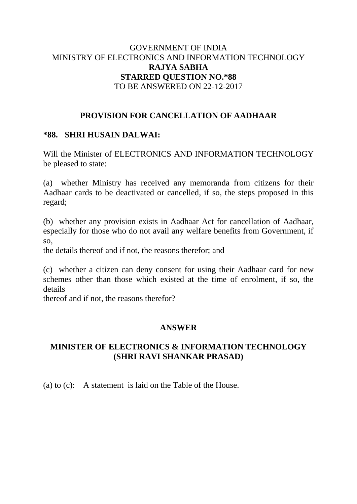## GOVERNMENT OF INDIA MINISTRY OF ELECTRONICS AND INFORMATION TECHNOLOGY **RAJYA SABHA STARRED QUESTION NO.\*88** TO BE ANSWERED ON 22-12-2017

## **PROVISION FOR CANCELLATION OF AADHAAR**

### **\*88. SHRI HUSAIN DALWAI:**

Will the Minister of ELECTRONICS AND INFORMATION TECHNOLOGY be pleased to state:

(a) whether Ministry has received any memoranda from citizens for their Aadhaar cards to be deactivated or cancelled, if so, the steps proposed in this regard;

(b) whether any provision exists in Aadhaar Act for cancellation of Aadhaar, especially for those who do not avail any welfare benefits from Government, if so,

the details thereof and if not, the reasons therefor; and

(c) whether a citizen can deny consent for using their Aadhaar card for new schemes other than those which existed at the time of enrolment, if so, the details

thereof and if not, the reasons therefor?

# **ANSWER**

## **MINISTER OF ELECTRONICS & INFORMATION TECHNOLOGY (SHRI RAVI SHANKAR PRASAD)**

(a) to (c): A statement is laid on the Table of the House.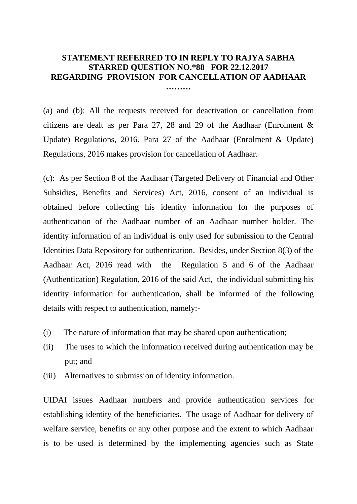### **STATEMENT REFERRED TO IN REPLY TO RAJYA SABHA STARRED QUESTION NO.\*88 FOR 22.12.2017 REGARDING PROVISION FOR CANCELLATION OF AADHAAR ………**

(a) and (b): All the requests received for deactivation or cancellation from citizens are dealt as per Para 27, 28 and 29 of the Aadhaar (Enrolment & Update) Regulations, 2016. Para 27 of the Aadhaar (Enrolment & Update) Regulations, 2016 makes provision for cancellation of Aadhaar.

(c): As per Section 8 of the Aadhaar (Targeted Delivery of Financial and Other Subsidies, Benefits and Services) Act, 2016, consent of an individual is obtained before collecting his identity information for the purposes of authentication of the Aadhaar number of an Aadhaar number holder. The identity information of an individual is only used for submission to the Central Identities Data Repository for authentication. Besides, under Section 8(3) of the Aadhaar Act, 2016 read with the Regulation 5 and 6 of the Aadhaar (Authentication) Regulation, 2016 of the said Act, the individual submitting his identity information for authentication, shall be informed of the following details with respect to authentication, namely:-

- (i) The nature of information that may be shared upon authentication;
- (ii) The uses to which the information received during authentication may be put; and
- (iii) Alternatives to submission of identity information.

UIDAI issues Aadhaar numbers and provide authentication services for establishing identity of the beneficiaries. The usage of Aadhaar for delivery of welfare service, benefits or any other purpose and the extent to which Aadhaar is to be used is determined by the implementing agencies such as State